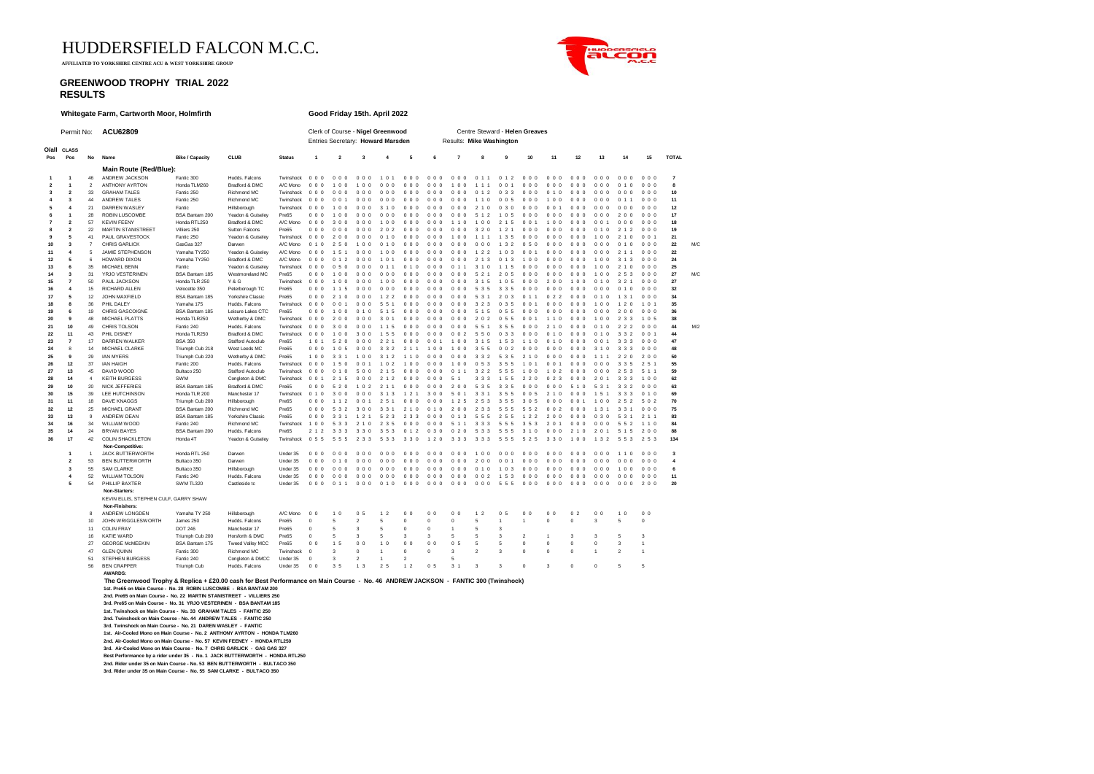HUDDERSFIELD FALCON M.C.C.

 **AFFILIATED TO YORKSHIRE CENTRE ACU & WEST YORKSHIRE GROUP**

## **GREENWOOD TROPHY TRIAL 2022 RESULTS**



**Whitegate Farm, Cartworth Moor, Holmfirth Good Friday 15th. April 2022** Permit No: **ACU62809** Clerk of Course - **Nigel Greenwood** Centre Steward - **Helen Greaves** Entries Secretary: **Howard Marsden O/all CLASS Pos Pos No Name Bike / Capacity CLUB Status TOTAL 1 2 3 4 5 6 7 8 9 10 11 12 13 14 15 Main Route (Red/Blue):**<br>46 ANDREW JACKSON 50016.200 **1 1** 46 ANDREW JACKSON Fantic 300 Hudds. Falcons Twinshock 0 0 0 0 0 0 0 0 0 1 0 1 0 0 0 0 0 0 0 0 0 0 1 1 0 1 2 0 0 0 0 0 0 0 0 0 0 0 0 0 0 0 0 0 0 **7 2 1** 2 ANTHONY AYRTON Honda TLM260 Bradford & DMC A/C Mono 0 0 0 1 0 0 1 0 0 0 0 0 0 0 0 0 0 0 1 0 0 1 1 1 0 0 1 0 0 0 0 0 0 0 0 0 0 0 0 0 1 0 0 0 0 **8 3 2** 33 GRAHAM TALES Fantic 250 Richmond MC Twinshock 0 0 0 0 0 0 0 0 0 0 0 0 0 0 0 0 0 0 0 0 0 0 1 2 0 3 3 0 0 0 0 1 0 0 0 0 0 0 0 0 0 0 0 0 0 **10 4 3** 44 ANDREW TALES Fantic 250 Richmond MC Twinshock 0 0 0 0 0 1 0 0 0 0 0 0 0 0 0 0 0 0 0 0 0 1 1 0 0 0 5 0 0 0 1 0 0 0 0 0 0 0 0 0 1 1 0 0 0 **11 5 4** 21 DARREN WASLEY Fantic Hillsborough Twinshock 0 0 0 1 0 0 0 0 0 3 1 0 0 0 0 0 0 0 0 0 0 2 1 0 0 3 0 0 0 0 0 0 1 0 0 0 0 0 0 0 0 0 0 0 0 **12 6 1** 28 ROBIN LUSCOMBE BSA Bantam 200 Yeadon & Guiseley Pre65 0 0 0 1 0 0 0 0 0 0 0 0 0 0 0 0 0 0 0 0 0 5 1 2 1 0 5 0 0 0 0 0 0 0 0 0 0 0 0 2 0 0 0 0 0 **17 7 2** 57 KEVIN FEENY Honda RTL250 Bradford & DMC A/C Mono 0 0 0 3 0 0 0 0 0 1 0 0 0 0 0 0 0 0 1 1 0 1 0 0 2 1 5 0 0 1 1 0 0 0 0 0 0 0 1 0 0 0 0 0 0 **18 8 2** 22 MARTIN STANISTREET Villiers 250 Sutton Falcons Pre65 0 0 0 0 0 0 0 0 0 2 0 2 0 0 0 0 0 0 0 0 0 3 2 0 1 2 1 0 0 0 0 0 0 0 0 0 0 1 0 2 1 2 0 0 0 **19 9 5** 41 PAUL GRAVESTOCK Fantic 250 Yeadon & Guiseley Twinshock 0 0 0 2 0 0 0 0 0 0 1 0 0 0 0 0 0 0 1 0 0 1 1 1 1 3 5 0 0 0 0 0 0 0 0 0 1 0 0 2 1 0 0 0 1 **21 10 3** 7 CHRIS GARLICK GasGas 327 Darwen A/C Mono 0 1 0 2 5 0 1 0 0 0 1 0 0 0 0 0 0 0 0 0 0 0 0 0 1 3 2 0 5 0 0 0 0 0 0 0 0 0 0 0 1 0 0 0 0 **22** M/C **11 4** 5 JAMIE STEPHENSON Yamaha TY250 Yeadon & Guiseley A/C Mono 0 0 0 1 5 1 0 0 0 1 0 0 0 0 0 0 0 0 0 0 0 1 2 2 1 0 3 0 0 1 0 0 0 0 0 0 0 0 0 2 1 1 0 0 0 **22 12 5** 6 HOWARD DIXON Yamaha TY250 Bradford & DMC A/C Mono 0 0 0 0 1 2 0 0 0 1 0 1 0 0 0 0 0 0 0 0 0 2 1 3 0 1 3 1 0 0 0 0 0 0 0 0 1 0 0 3 1 3 0 0 0 **24 13 6** 35 MICHAEL BENN Fantic Yeadon & Guiseley Twinshock 0 0 0 0 5 0 0 0 0 0 1 1 0 1 0 0 0 0 0 1 1 3 1 0 1 1 5 0 0 0 0 0 0 0 0 0 1 0 0 2 1 0 0 0 0 **25 14 3** 31 YRJO VESTERINEN BSA Bantam 185 Westmoreland MC Pre65 000 100 000 000 000 000 000 52.1 2.05 000 000 100 010 2.53 000 **27** M/C<br>**15 7** 50 PAULJACKSON Honda TLR:250 Y&G Twinshock 000 1.00 000 1.00 000 000 000 3.1.5 **15 7** 50 PAUL JACKSON Honda TLR 250 Y & G Twinshock 0 0 0 1 0 0 0 0 0 1 0 0 0 0 0 0 0 0 0 0 0 3 1 5 1 0 5 0 0 0 2 0 0 1 0 0 0 1 0 3 2 1 0 0 0 **27 16 4** 15 RICHARD ALLEN Velocette 350 Peterborough TC Pre65 0 0 0 1 1 5 0 0 0 0 0 0 0 0 0 0 0 0 0 0 0 5 3 5 3 3 5 0 0 0 0 0 0 0 0 0 0 0 0 0 1 0 0 0 0 **32 17 5** 12 JOHN MAXFIELD BSA Bantam 185 Yorkshire Classic Pre65 0 0 0 2 1 0 0 0 0 1 2 2 0 0 0 0 0 0 0 0 0 5 3 1 2 0 3 0 1 1 0 2 2 0 0 0 0 1 0 1 3 1 0 0 0 **34 18 8** 36 PHIL DALEY Yamaha 175 Hudds. Falcons Twinshock 0 0 0 0 0 1 0 0 0 5 5 1 0 0 0 0 0 0 0 0 0 3 2 3 0 3 5 0 0 1 0 0 0 0 0 0 1 0 0 1 2 0 1 0 1 **35 19 6** 19 CHRIS GASCOIGNE BSA Bantam 185 Leisure Lakes CTC Pre65 0 0 0 1 0 0 0 1 0 5 1 5 0 0 0 0 0 0 0 0 0 5 1 5 0 5 5 0 0 0 0 0 0 0 0 0 0 0 0 2 0 0 0 0 0 **36 20 9** 48 MICHAEL PLATTS Honda TLR250 Wetherby & DMC Twinshock 0 0 0 2 0 0 0 0 0 3 0 1 0 0 0 0 0 0 0 0 0 2 0 2 0 5 5 0 0 1 1 1 0 0 0 0 1 0 0 2 3 3 1 0 5 **38 21 10** 49 CHRIS TOLSON Fantic 240 Hudds. Falcons Twinshock 0 0 0 3 0 0 0 0 0 1 1 5 0 0 0 0 0 0 0 0 0 5 5 1 3 5 5 0 0 0 2 1 0 0 0 0 0 1 0 2 2 2 0 0 0 **44** M/2 **22 11** 43 PHIL DISNEY Honda TLR250 Bradford & DMC Twinshock 0 0 0 1 0 0 3 0 0 1 5 5 0 0 0 0 0 0 0 0 2 5 5 0 0 3 3 0 0 0 0 1 0 0 0 0 0 1 0 3 3 2 0 0 1 **44 23 7** 17 DARREN WALKER BSA 350 Stafford Autoclub Pre65 1 0 1 5 2 0 0 0 0 2 2 1 0 0 0 0 0 1 1 0 0 3 1 5 1 5 3 1 1 0 0 1 0 0 0 0 0 0 1 3 3 3 0 0 0 **47 24** 8 14 MICHAEL CLARKE Triumph Cub 218 West Leeds MC Pre65 0 0 0 1 0 5 0 0 0 3 3 2 2 1 1 1 0 0 1 0 0 3 5 5 0 0 2 0 0 0 0 0 0 0 0 0 3 1 0 3 3 3 0 0 0 **48** — 25 9 29 IAN MYERS Triumph Cub 220 Wetherby & DMC Pre65 1 0 0 3 3 1 1 0 0 3 1 2 1 1 0 0 0 0 0 3 3 2 5 3 5 2 1 0 0 0 0 0 0 1 1 1 2 2 0 2 0 0<br>25 9 29 IAN MYERS Triumph Cub 220 Wetherby & DMC Pre65 1 0 0 3 3 1 1 0 0 3 1 2 .<br>**26 12** 37 IAN HAIGH Fantic 200 Hudds. Falcons Twinshock 0 0 0 1 5 0 0 0 1 0 0 0 0 0 0 0 3 3 5 5 1 0 1 0 0 1 0 0 0 0 3 3 5 2 5 1<br>27 13 45 DAVID WOOD Rutlaco 250 Stafford Autoclub Twinshock 0 0 0 0 1 0 5 0 0 0 0 0 0 0 27 **13** 45 DAVIDWOOD Bultaco 250 Stafford Autoclub Twinshock 0 0 0 0 1 0 5 0 0 0 0 0 0 0 0 1 1 3 2 2 5 5 5 1 0 0 1 0 2 0 0 0 0 0 2 5 3 5 1 1<br>28 14 4 KEITHBURGESS SWM Congleton & DMC Twinshock 0 0 1 2 1 5 0 0 0 1 0 0 0 0 0 **28 14** 4 KEITH BURGESS SWM Congleton & DMC Twinshock 0 0 1 2 1 5 0 0 0 2 1 2 0 0 0 0 0 0 5 1 3 3 3 1 5 5 2 2 0 0 2 3 0 0 0 2 0 1 3 3 3 1 0 0 **62 29 10** 20 NICKJEFFERIES BSA Bantam 185 Bradford & DMC Pre65 0 0 0 5 2 0 1 0 2 2 11 0 0 0 0 0 0 0 5 3 3 3 3 5 0 0 0 0 0 5 1 0 5 3 1 3 3 2 0 0 0 63<br>10 15 30 IFF-HITCHINSON Honda TIR-2010 Mancheeler 17 Twinsbook 0 1 0 3 0 0 **30 15** 39 LEE-HUTCHINSON Honda TLR 200 Manchester 17 Twinshock 0 10 3 0 0 0 3 1.3 1.3 3 3 0 0 5 0 1 3 3 3 0 1<br>31 11 19 DAU/EVINAGOR Twinshock 200 Malleboogenb Poess 0 0 0 1.1.2 0 0 1.2 5 0 0 0 1.2 5 3 5 4 0 0 0 0 0 0 1.1 **31 11 18 DAVEKNAGGS Triumph Cub 200 Hillsborough Pre65** 0 0 0 11 2 0 0 1 2 51 0 0 0 0 1 2 5 1 0 0 0 0 0 0 0 0 0<br>19 19 15 MICHAELGRANT RRAIBWHOW ON Pic<del>hunch Pre</del>65 0 0 0 5 3 3 0 0 3 3 1 0 0 0 0 0 0 0 5 5 5 5 0 0 0 0 0 0 1 **32 12** 25 MICHAEL GRANT BSA Bantam 200 Richmond MC Pre65 0 0 0 5 3 2 3 0 0 3 3 1 2 1 0 0 1 0 2 0 0 2 3 3 5 5 5 5 5 2 0 0 2 0 0 0 1 3 1 3 3 1 0 0 0 **75 33 13** 9 ANDREW DEAN BSA Bantam 185 Yorkshire Classic Pre65 0 0 0 3 3 1 1 2 1 5 2 3 2 3 3 0 0 0 0 1 3 5 5 5 2 5 5 1 2 2 2 0 0 0 0 0 0 3 0 5 3 1 2 1 1 **83 34 16** 34 WILLIAM WOOD Fantic 240 Richmond MC Twinshock 1 0 0 5 3 3 2 1 0 2 3 5 0 0 0 0 0 0 5 1 1 3 3 3 5 5 5 3 5 3 2 0 1 0 0 0 0 0 0 5 5 2 1 1 0 **84 35 14** 24 BRYAN BAYES BSA Bantam 200 Hudds. Falcons Pre65 2 1 2 3 3 3 3 3 0 3 5 3 0 1 2 0 3 0 0 2 0 5 3 3 5 5 5 3 1 0 0 0 0 2 1 0 2 0 1 5 1 5 2 0 0 **88 36 17** 42 COLIN SHACKLETON Honda 4T Yeadon & Guiseley Twinshock 0 5 5 5 5 5 2 3 3 5 3 3 3 3 0 1 2 0 3 3 3 3 3 3 5 5 5 5 2 5 3 3 0 1 0 0 1 3 2 5 5 3 2 5 3 **134 Non-Competitive: 1** 1 JACK BUTTERWORTH Honda RTL 250 Darwen Under 35 0 0 0 0 0 0 0 0 0 0 0 0 0 0 0 0 0 0 0 0 0 1 0 0 0 0 0 0 0 0 0 0 0 0 0 0 0 0 0 1 1 0 0 0 0 **3 2** 53 BEN BUTTERWORTH Bultaco 350 Darwen Under 35 0 0 0 0 1 0 0 0 0 0 0 0 0 0 0 0 0 0 0 0 0 2 0 0 0 0 1 0 0 0 0 0 0 0 0 0 0 0 0 0 0 0 0 0 0 **4 3** 55 SAM CLARKE Bultaco 350 Hillsborough Under 35 0 0 0 0 0 0 0 0 0 0 0 0 0 0 0 0 0 0 0 0 0 0 1 0 1 0 3 0 0 0 0 0 0 0 0 0 0 0 0 1 0 0 0 0 0 **6 4** 52 WILLIAM TOLSON Fantic 240 Hudds. Falcons Under 35 0 0 0 0 0 0 0 0 0 0 0 0 0 0 0 0 0 0 0 0 0 0 0 2 1 5 3 0 0 0 0 0 0 0 0 0 0 0 0 0 0 0 0 0 0 **11 5** 54 PHILLIP BAXTER SWM TL320 Castleside tc Under 35 0 0 0 0 1 1 0 0 0 0 1 0 0 0 0 0 0 0 0 0 0 0 0 0 5 5 5 0 0 0 0 0 0 0 0 0 0 0 0 0 0 0 2 0 0 **20 Non-Starters:** KEVIN ELLIS, STEPHEN CULF, GARRY SHAW **Non-Finishers:**<br>ANDREW LONGDEN 8 ANDREW LONGDEN Yamaha TY 250 Hillsborough A/C Mono 0 0 1 0 0 5 1 2 0 0 0 0 0 0 1 2 0 5 0 0 0 0 0 2 0 0 1 0 0 0 10 JOHN WRIGGLESWORTH James 250 Hudds. Falcons Pre65 0 5 2 5 0 0 0 5 1 1 0 0 3 5 0 11 COLIN FRAY DOT 246 Manchester 17 Pre65 0 5 3 5 0 0 1 5 3 16 KATIE WARD Triumph Cub 200 Horsforth & DMC Pre65 0 5 3 5 3 3 5 5 3 2 1 3 3 5 3 27 GEORGE McMEEKIN BSA Bantam 175 Tweed Valley MCC Pre65 00 1.5 00 1.0 00 00 0.5 5 5 0<br>47 GEEN OLINN Equation Standing Stude of The Change of McC Twinghout Device Day 2.0 0.1 0.0 3.2.2.3 0.0 47 GLEN QUINN Fantic 300 Richmond MC Twinshock 0 3 0 1 0 0 3 2 3 0 0 0 1 2 1 51 STEPHEN BURGESS Fantic 240 Congleton & DMCC Under 35 0 3 2 1 2 2 5 1 3 3 0 3 0 5 5<br>56 BEN CRAPPER Triumph Cub Hudds. Falcons Under 35 0 0 3 5 1 3 2 5 1 2 0 5 3 1 3 3 0 0 5 5 5 **AWARDS: The Greenwood Trophy & Replica + £20.00 cash for Best Performance on Main Course - No. 46 ANDREW JACKSON - FANTIC 300 (Twinshock) 1st. Pre65 on Main Course - No. 28 ROBIN LUSCOMBE - BSA BANTAM 200 2nd. Pre65 on Main Course - No. 22 MARTIN STANISTREET - VILLIERS 250 3rd. Pre65 on Main Course - No. 31 YRJO VESTERINEN - BSA BANTAM 185 1st. Twinshock on Main Course - No. 33 GRAHAM TALES - FANTIC 250 2nd. Twinshock on Main Course - No. 44 ANDREW TALES - FANTIC 250 3rd. Twinshock on Main Course - No. 21 DAREN WASLEY - FANTIC 1st. Air-Cooled Mono on Main Course - No. 2 ANTHONY AYRTON - HONDA TLM260 2nd. Air-Cooled Mono on Main Course - No. 57 KEVIN FEENEY - HONDA RTL250 3rd. Air-Cooled Mono on Main Course - No. 7 CHRIS GARLICK - GAS GAS 327 Best Performance by a rider under 35 - No. 1 JACK BUTTERWORTH - HONDA RTL250**

**2nd. Rider under 35 on Main Course - No. 53 BEN BUTTERWORTH - BULTACO 350**

**3rd. Rider under 35 on Main Course - No. 55 SAM CLARKE - BULTACO 350**